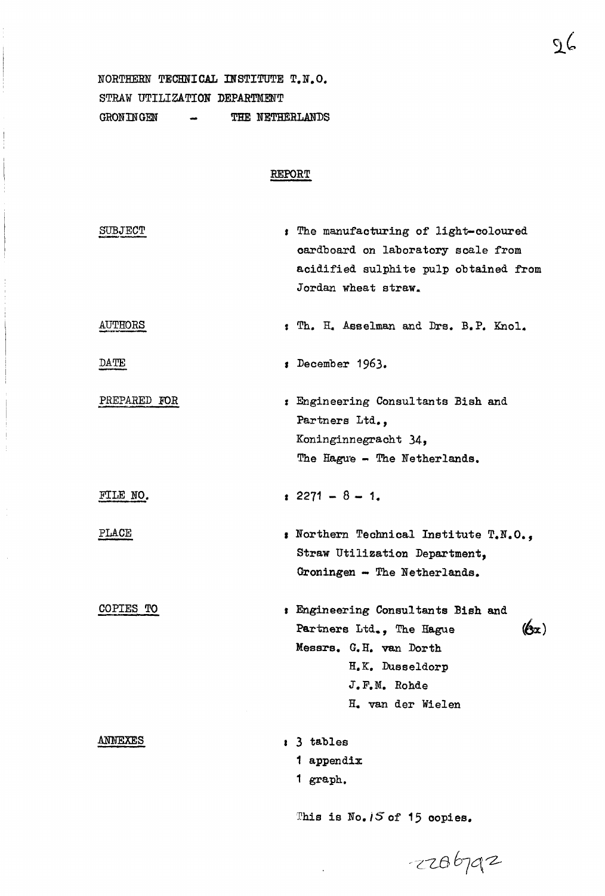**NORTHERN TECHNICAL INSTITUTE T.N.O. STRAW UTILIZATION DEPARTMENT**  GRONINGEN - THE NETHERLANDS

# **REPORT**

| <b>SUBJECT</b> | : The manufacturing of light-coloured<br>cardboard on laboratory scale from<br>acidified sulphite pulp obtained from<br>Jordan wheat straw.                                                 |
|----------------|---------------------------------------------------------------------------------------------------------------------------------------------------------------------------------------------|
| <b>AUTHORS</b> | : Th. H. Asselman and Drs. B.P. Knol.                                                                                                                                                       |
| DATE           | December 1963.                                                                                                                                                                              |
| PREPARED FOR   | : Engineering Consultants Bish and<br>Partners Ltd.,<br>Koninginnegracht 34,<br>The Hague - The Netherlands.                                                                                |
| FILE NO.       | $: 2271 - 8 - 1.$                                                                                                                                                                           |
| PLACE          | : Northern Technical Institute T.N.O.,<br>Straw Utilization Department,<br>Groningen - The Netherlands.                                                                                     |
| COPIES TO      | : Engineering Consultants Bish and<br>$\langle \mathbf{b}_\mathbf{x} \rangle$<br>Partners Ltd., The Hague<br>Messrs. G.H. van Dorth<br>H.K. Dusseldorp<br>J.F.M. Rohde<br>H. van der Wielen |
| ANNEXES        | : 3 tables<br>1 appendix<br>1 graph.<br>This is No. 15 of 15 copies.                                                                                                                        |
|                | $-2286792$                                                                                                                                                                                  |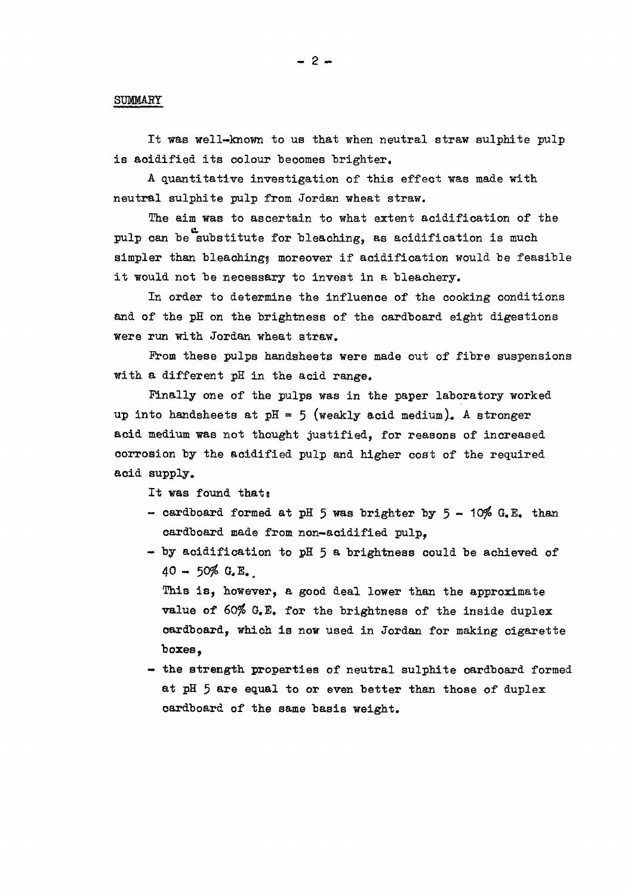#### **SUMMAEY**

**It was well-known to us that when neutral straw sulphite pulp**  is acidified its colour becomes brighter.

**A quantitative investigation of this effect was made with neutral sulphite pulp from Jordan wheat straw.** 

**The aim was to ascertain to what extent acidification of the**  pulp can be substitute for bleaching, as acidification is much simpler than bleaching; moreover if acidification would be feasible **it would not be necessary to invest in a bleachery.** 

**In order to determine the influence of the cooking conditions and of the pH on the brightness of the cardboard eight digestions were run with Jordan wheat straw.** 

**Prom these pulps handsheets were made out of fibre suspensions with a different pH in the acid range.** 

**Finally one of the pulps was in the paper laboratory worked**  up into handsheets at  $pH = 5$  (weakly acid medium). A stronger **acid medium was not thought justified, for reasons of increased corrosion by the acidified pulp and higher cost of the required acid supply.** 

**It was found thats** 

- cardboard formed at pH 5 was brighter by 5 10% G.E. than **cardboard made from non-acidified pulp,**
- **by acidification to pH 5 a brightness could be achieved of 40 - 50\$ G.E.**

**This is, however, a good deal lower than the approximate value of 60\$ G.E. for the brightness of the inside duplex cardboard, which is now used in Jordan for making cigarette boxes,** 

**- the strength properties of neutral sulphite cardboard formed at pH 5 are equal to or even better than those of duplex cardboard of the same basis weight.**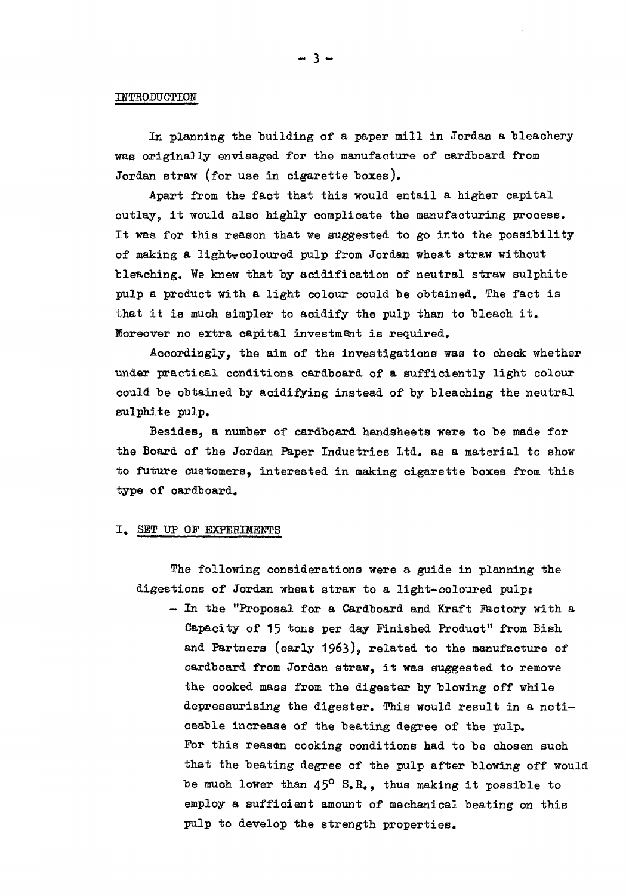#### **INTRODUCTION**

**In planning the building of a paper mill in Jordan a bleachery was originally envisaged for the manufacture of cardboard from Jordan straw (for use in cigarette boxes).** 

**Apart from the fact that this would entail a higher capital outlay? it would also highly complicate the manufacturing process. It was for this reason that we suggested to go into the possibility of making a lighter coloured pulp from Jordan wheat straw without bleaching. We knew that by acidification of neutral straw sulphite pulp a product with a light colour could be obtained. The fact is that it is much simpler to acidify the pulp than to bleach it» Moreover no extra capital investment is required.** 

**Accordingly, the aim of the investigations was to check whether under practical conditions cardboard of a sufficiently light colour could be obtained by acidifying instead of by bleaching the neutral sulphite pulp.** 

**Besides, a number of cardboard handsheets were to be made for the Board of the Jordan Paper Industries Ltd. as a material to show to future customers, interested in making cigarette boxes from this type of cardboard.** 

#### **I. SET UP OF EXPERIMENTS**

**The following considerations were a guide in planning the digestions of Jordan wheat straw to a light-coloured pulps** 

**— In the "Proposal for a Cardboard and Kraft Factory with a Capacity of 15 tons per day Finished Product" from Bish and Partners (early 1963), related to the manufacture of cardboard from Jordan straw, it was suggested to remove the cooked mass from the digester by blowing off while depressurising the digester. This would result in a noticeable increase of the beating degree of the pulp» For this reason cooking conditions had to be chosen such that the beating degree of the pulp after blowing off would be much lower than 45° S.R., thus making it possible to employ a sufficient amount of mechanical beating on this pulp to develop the strength properties.**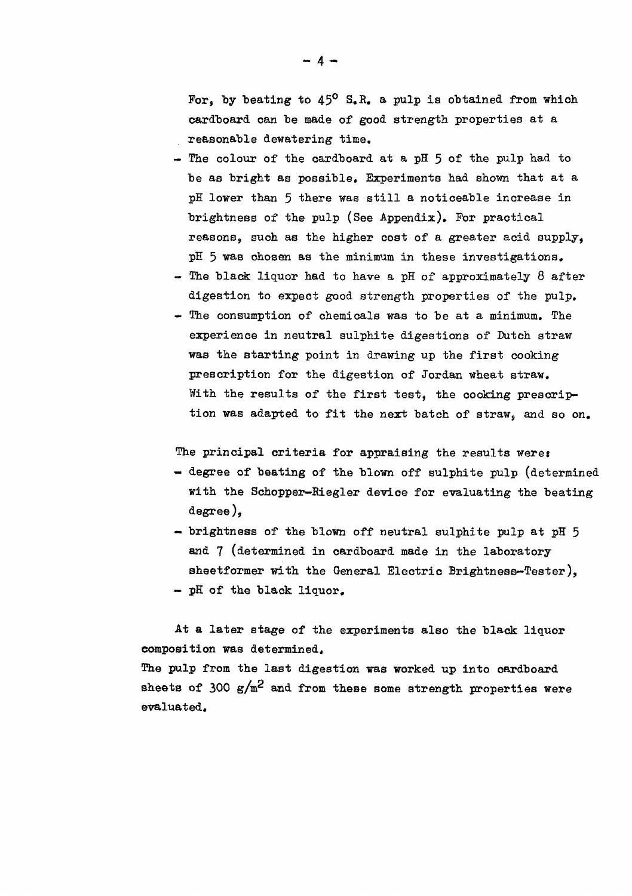For, by beating to 45<sup>o</sup> S.R. a pulp is obtained from which **cardboard can he made of good strength properties at a reasonable dewatering time.** 

- The colour of the cardboard at a pH 5 of the pulp had to **be as bright as possible. Experiments had shown that at a pi lower than 5 there was still a noticeable increase in brightness of the pulp (See Appendix). Por practical reasons, such as the higher cost of a greater acid supply, pH 5 was chosen as the minimum in these investigations.**
- **The black liquor had to have a pH of approximately 8 after digestion to expect good strength properties of the pulp,**
- **The consumption of chemicals was to be at a minimum. The experience in neutral sulphite digestions of Dutch straw was the starting point in drawing up the first cooking prescription for the digestion of Jordan wheat straw. With the results of the first test, the cooking prescription was adapted to fit the next batch of straw, and so on.**

The principal criteria for appraising the results were:

- **degree of beating of the blown off sulphite pulp (determined with the Schopper—Biegler device for evaluating the beating degree),**
- **brightness of the blown off neutral sulphite pulp at pH 5 Mid 7 (determined in cardboard made in the laboratory sheetformer with the General Electric Brightness-Tester), — pH of the black liquor.**

**At a later stage of the experiments also the black liquor composition was determined,** 

**The pulp from the last digestion was worked up into cardboard**  sheets of  $300 \text{ g/m}^2$  and from these some strength properties were **evaluated.** 

 $-4-$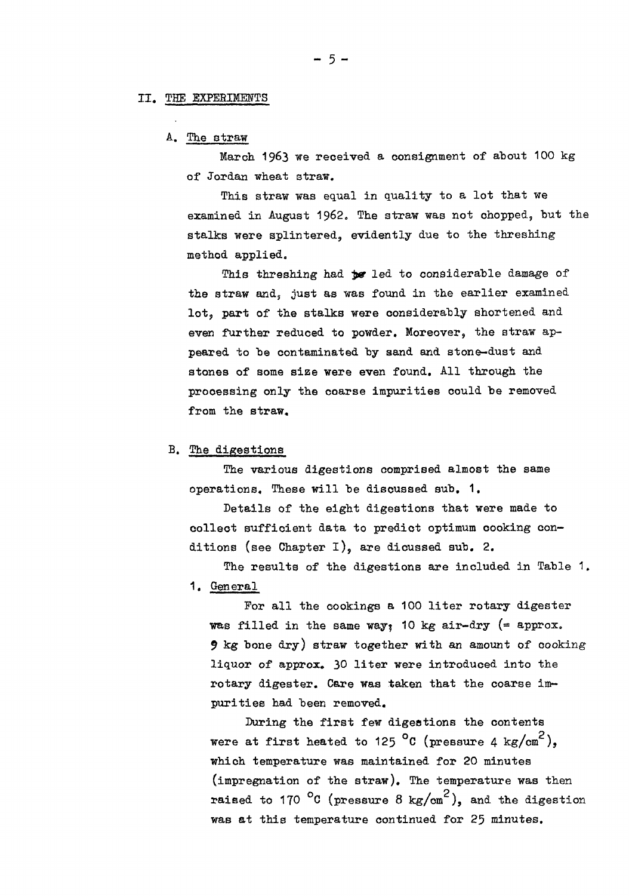#### **II, THE EXPERIMENTS**

#### **A. The straw**

March 1963 we received a consignment of about 100 kg **of Jordan wheat straw.** 

**This straw was equal in quality to a lot that we**  examined in August 1962. The straw was not chopped, but the **stalks were splintered, evidently due to the threshing method applied.** 

This threshing had **be** led to considerable damage of **the straw and, just as was found in the earlier examined lot, part of the stalks were considerably shortened and even further reduced to powder. Moreover, the straw appeared to be contaminated by sand and stone-dust and stones of some size were even found. All through the processing only the coarse impurities could be removed from the straw,** 

## **B. The digestions**

**The various digestions comprised almost the same operations. These will be discussed sub, 1.** 

**Details of the eight digestions that were made to collect sufficient data to predict optimum cooking con**ditions (see Chapter I), are dicussed sub. 2.

**The results of the digestions are included in Table 1. 1. General** 

**For all the cookings a 100 liter rotary digester was filled in the same way? 10 kg air-dry (= approx. 9 kg bone dry) straw together with an amount of cooking liquor of approx, 30 liter were introduced into the rotary digester. Care was taken that the coarse impurities had been removed.** 

**During the first few digestions the contents were at first heated to 125 °C (pressure 4 kg/cm<sup>2</sup>), which temperature was maintained for 20 minutes (impregnation of the straw). The temperature was then**  raised to 170 <sup>o</sup>C (pressure 8 kg/cm<sup>2</sup>), and the digestion **was at this temperature continued for 25 minutes.** 

**- 5 -**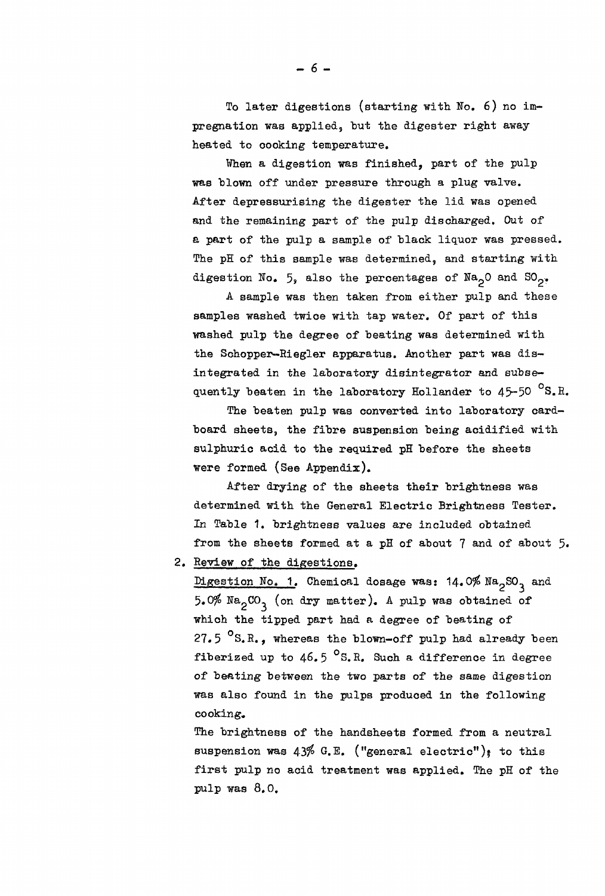**To later digestions (starting with No. 6) no im**pregnation was applied, but the digester right away **heated to oooking temperature.** 

**When a digestion was finished, part of the pulp was "blown off under pressure through a plug valve. After depressurising the digester the lid was opened and the remaining part of the pulp discharged. Out of a part of the pulp a sample of black liquor was pressed. The pH of this sample was determined, and starting with**  digestion No. 5, also the percentages of  $Na<sub>2</sub>O$  and  $SO<sub>2</sub>$ .

**A sample was then taken from either pulp and these samples washed twice with tap water. Of part of this**  washed pulp the degree of beating was determined with **the Schopper-Riegler apparatus. Another part was disintegrated in the laboratory disintegrator and subsequently beaten in the laboratory Hollander to 45-50 °S.E.** 

**The beaten pulp was converted into laboratory cardboard sheets, the fibre suspension being acidified with sulphuric acid to the required pH before the sheets were formed (See Appendix).** 

**After drying of the sheets their brightness was determined with the General Electric Brightness Tester.**  *In* **Table 1. brightness values are included obtained from the sheets formed at a pH of about 7 and of about 5«** 

**2. Review of the digestions.** 

**Digestion No. 1. Chemical dosage was: 14.0\$ Na2S0^ and 5.0\$ NagCO^ (on dry matter). A pulp was obtained of which the tipped part had a degree of beating of 27.5 °S.R., whereas the blown-off pulp had already been fiberized up to 46.5 °S.R. Such a difference in degree of beating between the two parts of the same digestion was also found in the pulps produced in the following cooking.** 

**The brightness of the handsheets formed from a neutral**  suspension was 43% G.E. ("general electric"); to this **first pulp no acid treatment was applied. The pH of the pulp was 8.0.**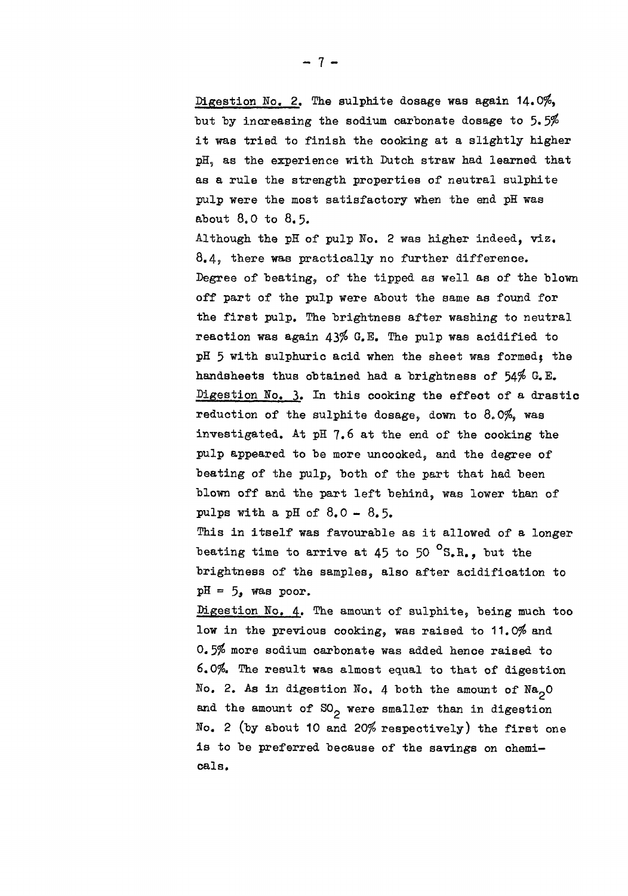**Digestion No. 2. The sulphite dosage was again 14,0\$, but "by increasing the sodium carbonate dosage to 5.5\$ it was tried to finish the cooking at a slightly higher pH, as the experience with Dutch straw had learned that as a rule the strength properties of neutral sulphite pulp were the most satisfactory when the end pH was about 8.0 to 8« 5.** 

**Although the pH of pulp Ko. 2 was higher indeed, viz, 8.4? there was practically no further difference. Degree of beating, of the tipped as well as of the blown off part of the pulp were about the same as found for the first pulp. The brightness after washing to neutral reaction was again 43\$ G.E. The pulp was acidified to**  pH 5 with sulphuric acid when the sheet was formed; the **handsheets thus obtained had a brightness of 54\$ Digestion Ho. 3. In this cooking the effect of a drastic reduction of the sulphite dosage, down to 8.0\$, was investigated. At pH 7.6 at the end of the cooking the pulp appeared to be more uncooked, and the degree of beating of the pulp, both of the part that had been blown off and the part left behind, was lower than of pulps with a pH of 8.0 -** 8.5.

**This in itself was favourable as it allowed of a longer**  beating time to arrive at 45 to 50 <sup>o</sup>S.R., but the **brightness of the samples, also after acidification to**   $pH = 5$ , was poor.

**Digestion No. 4. The amount of sulphite, being much too**  low in the previous cooking, was raised to 11.0% and **0.5\$ more sodium carbonate was added hence raised to 6.0\$. The result was almost equal to that of digestion**  No. 2. As in digestion No. 4 both the amount of  $\text{Na}_2\text{O}$ and the amount of SO<sub>2</sub> were smaller than in digestion **Bo. 2 (by about 10 and 20\$ respectively) the first one is to be preferred because of the savings on chemicals.**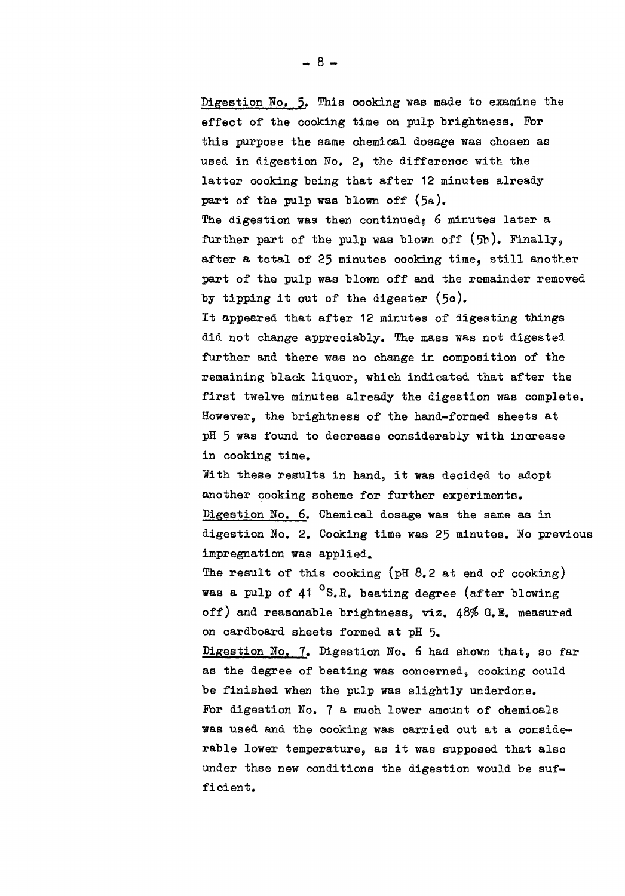Digestion No. 5. This cooking was made to examine the **effect of the cooking time on pulp brightness. For this purpose the same chemical dosage was chosen as used in digestion No, 2, the difference with the latter cooking being that after 12 minutes already**  part of the pulp was blown off (5a). **The digestion was then continued^ 6 minutes later a further part of the pulp was blown off (5b). Finally, after a total of 25 minutes cooking time, still another part of the pulp was blown off and the remainder removed by tipping it out of the digester (5o). It appeared that after 12 minutes of digesting things did not change appreciably. The mass was not digested further and there was no change in composition of the remaining black liquor, which indicated that after the first twelve minutes already the digestion was complete. However, the brightness of the hand-formed sheets at pH 5 was found to decrease considerably with increase in cooking time. With these results in hand, it was decided to adopt another cooking scheme for further experiments. Digestion Ho. 6. Chemical dosage was the same as in digestion No. 2. Cooking time was 25 minutes. No previous impregnation was applied. The result of this cooking (pH 8.2 at end of cooking) was a pulp of 41 °S.H. beating degree (after blowing off) and reasonable brightness, viz. 48\$ G.E. measured on cardboard sheets formed at pH 5« Digestion No. 7. Digestion No,** *6* **had shown that, so far as the degree of beating was concerned, cooking could be finished when the pulp was slightly underdone. For digestion No. 7 a much lower amount of chemicals was used and the cooking was carried out at a considerable lower temperature, as it was supposed that also under thse new conditions the digestion would be suf-**

**- 8 -**

**ficient.**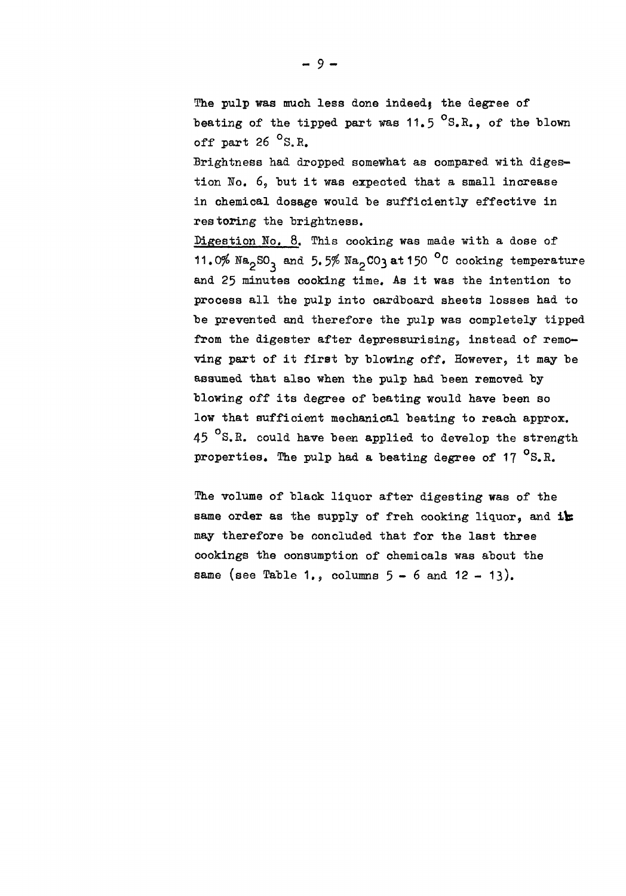The pulp was much less done indeed, the degree of beating of the tipped part was 11.5 <sup>o</sup>S.R., of the blown **off part 26 °S.E, Brightness had dropped somewhat as compared with diges-**

**tion No. 6, but it was expected that a small increase in chemical dosage would be sufficiently effective in restoring the brightness.** 

**Digestion Ho. 8. This cooking was made with a dose of 11.0%**  $N_{2}SO_{3}$  **and 5.5%**  $N_{2}CO_{3}$  **at 150 °C cooking temperature and 25 minutes cooking time. As it was the intention to process all the pulp into cardboard sheets losses had to be prevented and therefore the pulp was completely tipped**  from the digester after depressurising, instead of remo**ving part of it first by blowing off. However, it may be assumed that also when the pulp had been removed by blowing off its degree of beating would have been so low that sufficient mechanical beating to reach approx. 45 °S.E. could have been applied to develop the strength properties. The pulp had a beating degree of 17 °S.R.** 

**The volume of black liquor after digesting was of the**  same order as the supply of freh cooking liquor, and i**k may therefore be concluded that for the last three cookings the consumption of chemicals was about the same (see Table** 1., **columns 5-6 and** 12 - 13).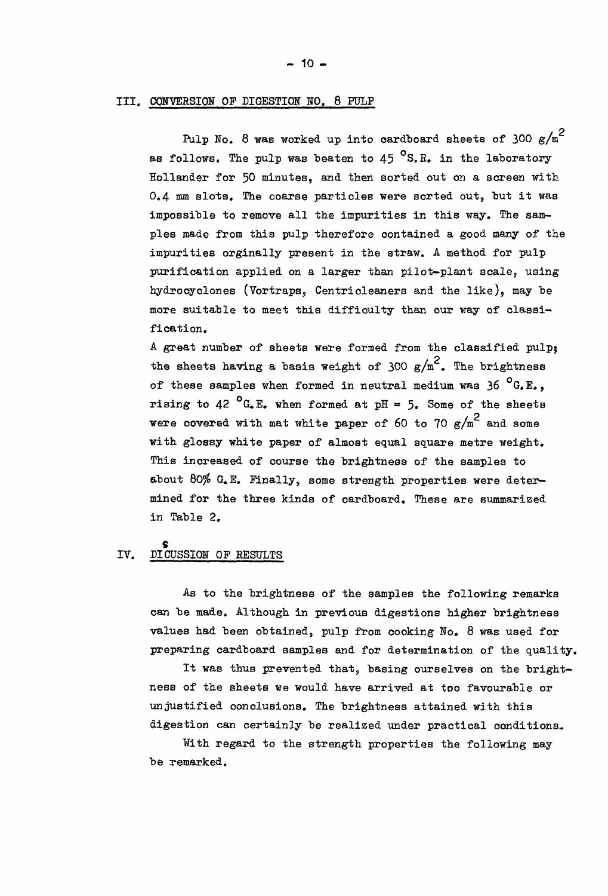#### **rn. CONVERSION OF DIGESTION HO. 8 FULP**

Pulp No. 8 was worked up into cardboard sheets of 300 g/m<sup>2</sup> as follows. The pulp was beaten to 45 <sup>o</sup>S.R. in the laboratory **Hollander for 50 minutes, and then sorted out on a screen with 0.4 mm slots. The coarse particles were sorted out, but it was impossible to remove all the impurities in this way. The samples made from this pulp therefore contained a good many of the impurities orginally present in the straw. A method for pulp purification applied on a larger than pilot-plant scale, using hydrocyclones (Vortraps, Gentricleaners and the like), may be more suitable to meet this difficulty than our way of classification.** 

**A great number of sheets were formed from the classified pulpj**  the sheets having a basis weight of  $300 \text{ g/m}^2$ . The brightness **of these samples when formed in neutral medium was 36 °G.E., rising to 42 <sup>o</sup>G.E. when formed at pH = 5. Some of the sheets were covered with mat white paper of 60 to 70**  $g/m^2$  **and some with glossy white paper of almost equal square metre weight. This increased of course the brightness of the samples to about 80\$ G»E. Finally, some strength properties were determined for the three kinds of cardboard. These are summarized in Table 2.** 

# IV. DICUSSION OF RESULTS

**As to the brightness of the samples the following remarks can be made. Although in previous digestions higher brightness values had been obtained, pulp from cooking No. 8 was used for preparing cardboard samples and for determination of the quality.** 

**It was thus prevented that, basing ourselves on the brightness of the sheets we would have arrived at too favourable or unjustified conclusions. The brightness attained with this**  digestion can certainly be realized under practical conditions.

**With regard to the strength properties the following may be remarked.**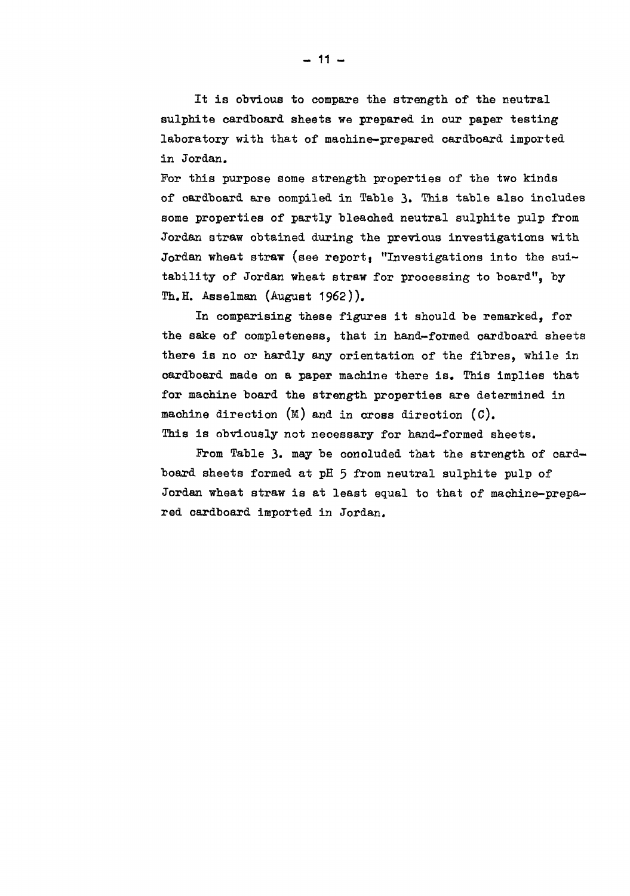**It is obvious to compare the strength of the neutral sulphite cardboard sheets we prepared in our paper testing laboratory with that of machine-prepared cardboard imported in Jordan.** 

**Por this purpose some strength properties of the two kinds of cardboard are compiled in Table 3» This table also includes some properties of partly bleached neutral sulphite pulp from Jordan straw obtained during the previous investigations with**  Jordan wheat straw (see report: "Investigations into the sui**tability of Jordan wheat straw for processing to board", by Th.H. Asselman (August 1962)),** 

**In comparising these figures it should be remarked, for the sake of completeness, that in hand-formed cardboard sheets there is no or hardly any orientation of the fibres, while in cardboard made on a paper machine there is. This implies that for machine board the strength properties are determined in machine direction (M) and in cross direction (C). This is obviously not necessary for hand-formed sheets.** 

From Table 3. may be concluded that the strength of card**board sheets formed at pH 5 from neutral sulphite pulp of Jordan wheat straw is at least equal to that of machine-prepared cardboard imported in Jordan.**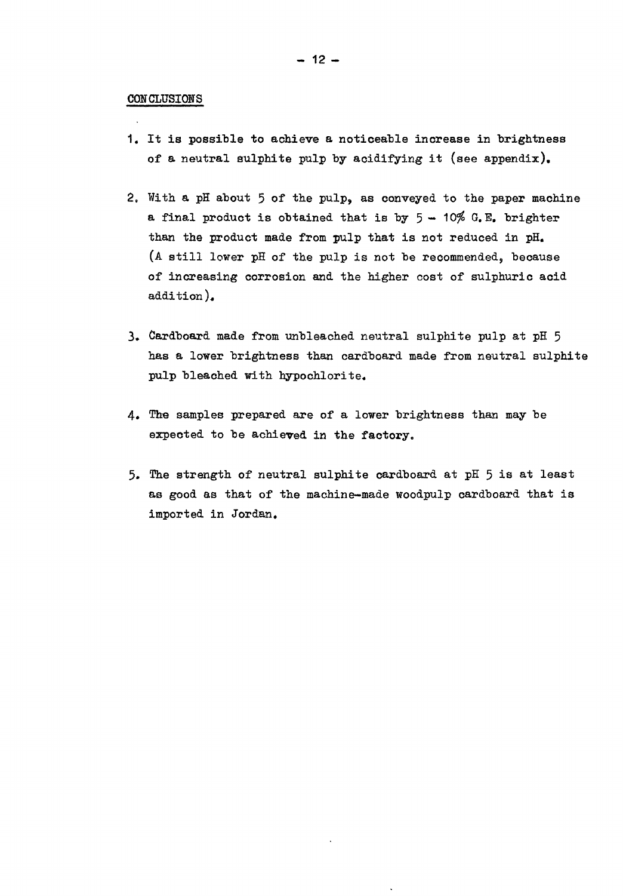#### **CONCLUSIONS**

- **1. It is possible to achieve a noticeable increase in brightness of a neutral sulphite pulp by acidifying it (see appendix),**
- **2. With a pH about 5 of the pulp, as conveyed to the paper machine a** final product is obtained that is by  $5 - 10\%$  G.E. brighter than the product made from pulp that is not reduced in pH. **(A still lower pH of the pulp is not be recommended, because of increasing corrosion and the higher cost of sulphuric acid addition),**
- **3. Cardboard made from unbleached neutral sulphite pulp at pH 5 has a lower brightness than cardboard made from neutral sulphite pulp bleached with hypochlorite.**
- **4. The samples prepared are of a lower brightness than may be expected to be achieved in the factory.**
- **5. The strength of neutral sulphite cardboard at pH 5 is at least as good as that of the machine-made woodpulp cardboard that is imported in Jordan.**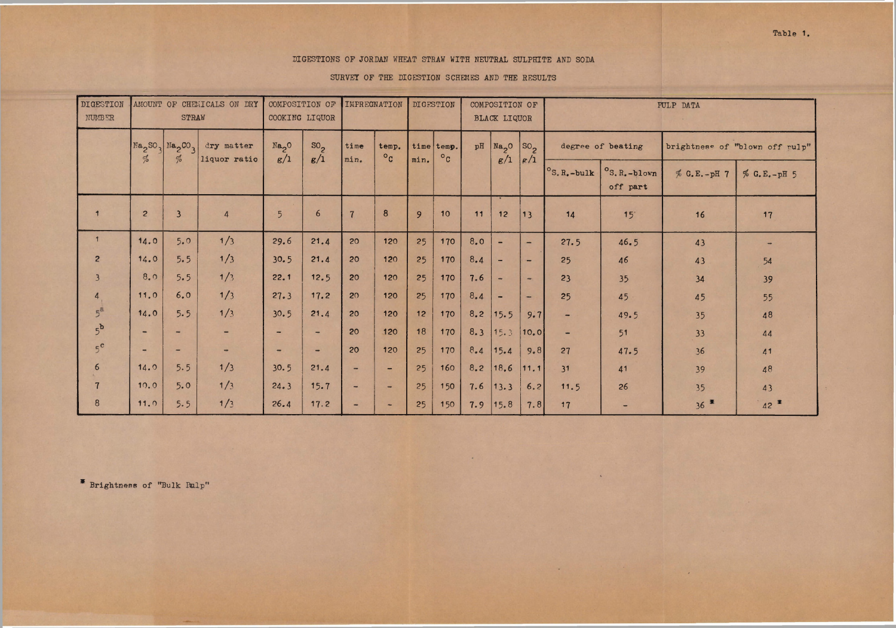|  | Table 1. |  |  |  |  |
|--|----------|--|--|--|--|
|--|----------|--|--|--|--|

# DIGESTIONS OF JORDAN WHEAT STRAW WITH NEUTRAL SULPHITE AND SODA

SURVEY OF THE DIGESTION SCHEMES AND THE RESULTS

| <b>DIGESTION</b><br><b>NUMBER</b> |                              | STRAW                                                                                   | AMOUNT OF CHEMICALS ON DRY | COMPOSITION OF<br>COOKING LIQUOR |                          | <b>IMPREGNATION</b>      |                      |      | DIGESTION                          |     | COMPOSITION OF<br><b>BLACK LIQUOR</b> |                                              | PULP DATA             |                                     |             |                                |
|-----------------------------------|------------------------------|-----------------------------------------------------------------------------------------|----------------------------|----------------------------------|--------------------------|--------------------------|----------------------|------|------------------------------------|-----|---------------------------------------|----------------------------------------------|-----------------------|-------------------------------------|-------------|--------------------------------|
|                                   |                              |                                                                                         |                            |                                  |                          |                          |                      |      |                                    |     |                                       |                                              |                       |                                     |             |                                |
|                                   | $\frac{d}{2}$                | $\text{Na}_2\text{SO}_3$ $\text{Na}_2\text{CO}_3$<br>$\frac{\partial f}{\partial \phi}$ | dry matter<br>liquor ratio | $Na2$ <sup>O</sup><br>g/1        | SO <sub>2</sub><br>g/1   | time<br>min.             | temp.<br>$\circ_{c}$ | min. | time temp.<br>$\circ$ <sub>C</sub> | pH  | Na <sub>2</sub> O<br>g/1              | $ {so}_{2} $<br>$\left  \frac{e}{1} \right $ |                       | degree of beating                   |             | brightness of "blown off rulp" |
|                                   |                              |                                                                                         |                            |                                  |                          |                          |                      |      |                                    |     |                                       |                                              | $^{\circ}$ S. R.-bulk | $^{\circ}$ S. R. -blown<br>off part | % G.E.-pH 7 | $% G.E. - pH 5$                |
|                                   | $\overline{2}$               | $\overline{\mathbf{3}}$                                                                 | $\overline{4}$             | $5\overline{)}$                  | 6                        | $\overline{\mathbf{z}}$  | $\boldsymbol{8}$     | 9    | 10                                 | 11  | 12                                    | 13                                           | 14                    | 15                                  | 16          | 17                             |
|                                   | 14.0                         | 5.0                                                                                     | 1/3                        | 29.6                             | 21.4                     | 20                       | 120                  | 25   | 170                                | 8.0 | $\overline{\phantom{0}}$              | <b>AND</b>                                   | 27.5                  | 46.5                                | 43          |                                |
| $\overline{2}$                    | 14.0                         | 5.5                                                                                     | 1/3                        | 30.5                             | 21.4                     | 20                       | 120                  | 25   | 170                                | 8.4 | $\overline{\phantom{0}}$              | $\sim$                                       | 25                    | 46                                  | 43          | 54                             |
| $\overline{3}$                    | 8.0                          | 5.5                                                                                     | 1/3                        | 22.1                             | 12.5                     | 20                       | 120                  | 25   | 170                                | 7.6 | $\rightarrow$                         | $\overline{\phantom{a}}$                     | 23                    | 35                                  | 34          | 39                             |
| $\overline{4}$                    | 11.0                         | 6.0                                                                                     | 1/3                        | 27.3                             | 17.2                     | 20                       | 120                  | 25   | 170                                | 8.4 | $\qquad \qquad \blacksquare$          | $\overline{\phantom{a}}$                     | 25                    | 45                                  | 45          | 55                             |
| $5^{\overline{a}}$                | 14.0                         | 5.5                                                                                     | 1/3                        | 30.5                             | 21.4                     | 20                       | 120                  | 12   | 170                                | 8.2 | 15.5                                  | 9.7                                          | -                     | 49.5                                | 35          | 48                             |
| 5 <sup>b</sup>                    | $\qquad \qquad \blacksquare$ | $\overline{\phantom{a}}$                                                                |                            | $\overline{\phantom{a}}$         | $\overline{\phantom{0}}$ | 20                       | 120                  | 18   | 170                                | 8.3 | 15.3                                  | 10.0                                         |                       | 51                                  | 33          | 44                             |
| $5^{\circ}$                       | $\frac{1}{2}$                | $\sim$                                                                                  |                            | $\overline{\phantom{0}}$         | $\rightarrow$            | 20                       | 120                  | 25   | 170                                | 8.4 | 15.4                                  | 9.8                                          | 27                    | 47.5                                | 36          | 41                             |
| $6\overline{6}$                   | 14.0                         | 5.5                                                                                     | 1/3                        | 30.5                             | 21.4                     | $\overline{\phantom{a}}$ | $\rightarrow$        | 25   | 160                                | 8.2 | 18.6                                  | 11.1                                         | 31                    | 41                                  | 39          | 48                             |
| $\overline{7}$                    | 10.0                         | 5.0                                                                                     | 1/3                        | 24.3                             | 15.7                     | $\overline{\phantom{a}}$ | $\rightarrow$        | 25   | 150                                | 7.6 | 13.3                                  | 6.2                                          | 11.5                  | 26                                  | 35          | 43                             |
| 8                                 | 11.0                         | 5.5                                                                                     | 1/3                        | 26.4                             | 17.2                     | $\qquad \qquad$          | $\rightarrow$        | 25   | 150                                | 7.9 | 15.8                                  | 7.8                                          | 17                    | $\overline{\phantom{a}}$            | $36$ $*$    | 42                             |

 $*$  Brightness of "Bulk Palp"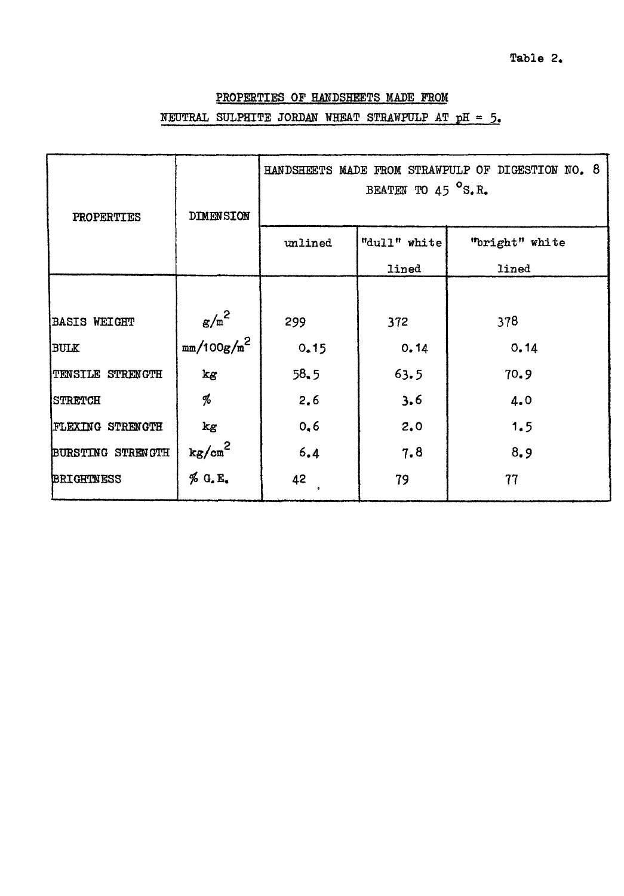**Table 2** 

# PROPERTIES OF HANDSHEETS MADE FROM NEUTRAL SULPHITE JORDAN WHEAT STRAWFULP AT  $pH = 5$ .

| PROPERTIES              | DIMENSION          | HANDSHEETS MADE FROM STRAWPULP OF DIGESTION NO. 8<br>BEATEN TO 45 $^{\circ}$ S.R. |              |                |  |  |  |
|-------------------------|--------------------|-----------------------------------------------------------------------------------|--------------|----------------|--|--|--|
|                         |                    | unlined                                                                           | "dull" white | "bright" white |  |  |  |
|                         |                    |                                                                                   | lined        | lined          |  |  |  |
|                         |                    |                                                                                   |              |                |  |  |  |
| <b>BASIS WEIGHT</b>     | $g/m^2$            | 299                                                                               | 372          | 378            |  |  |  |
| <b>BULK</b>             | $mm/100g/m^2$      | 0.15                                                                              | 0.14         | 0.14           |  |  |  |
| TENSILE STRENGTH        | kg                 | 58.5                                                                              | 63.5         | 70.9           |  |  |  |
| STRETCH                 | %                  | 2.6                                                                               | 3.6          | 4.0            |  |  |  |
| <b>FLEXING STRENGTH</b> | kg                 | 0, 6                                                                              | 2.0          | 1.5            |  |  |  |
| BURSTING STRENGTH       | kg/cm <sup>2</sup> | 6.4                                                                               | 7.8          | 8.9            |  |  |  |
| <b>BRIGHTNESS</b>       | % G.E.             | 42                                                                                | 79           | 77             |  |  |  |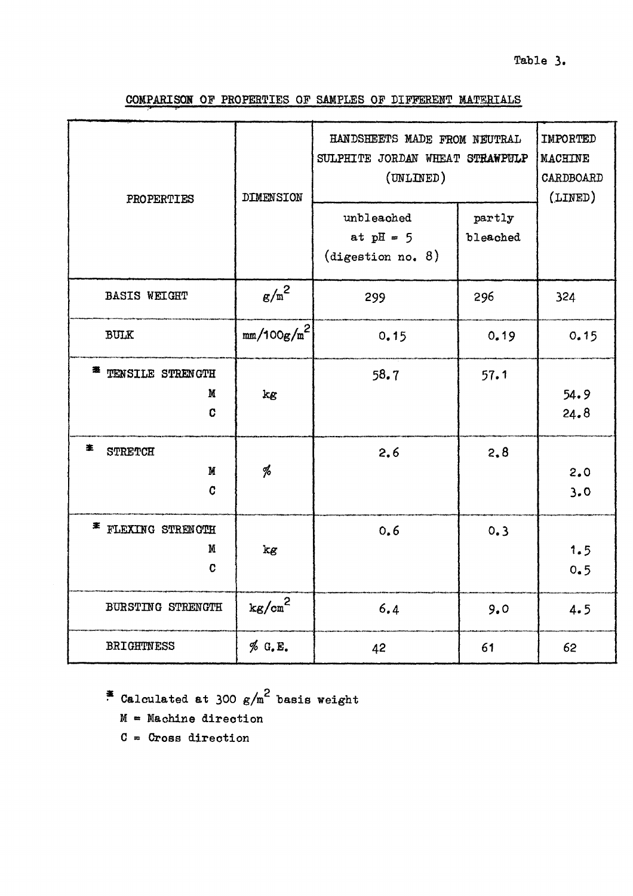# **Table 3.**

**COMPARISON OF PROPERTIES OF SAMPLES OF DIFFERENT MATERIALS** 

| PROPERTIES                               | <b>DIMENSION</b>       | HANDSHEETS MADE FROM NEUTRAL<br>SULPHITE JORDAN WHEAT STRAWPULP<br>(UNLINED)<br>unbleached<br>at $pH = 5$<br>(digestion no. 8) | partly<br>bleached | IMPORTED<br><b>MACHINE</b><br>CARDBOARD<br>(LINED) |
|------------------------------------------|------------------------|--------------------------------------------------------------------------------------------------------------------------------|--------------------|----------------------------------------------------|
| <b>BASIS WEIGHT</b>                      | $\mathrm{g/m}^2$       | 299                                                                                                                            | 296                | 324                                                |
| <b>BULK</b>                              | mm/100g/m <sup>2</sup> | 0.15                                                                                                                           | 0.19               | 0.15                                               |
| <sup>*</sup> TENSILE STRENGTH<br>M<br>C  | kg                     | 58.7                                                                                                                           | 57.1               | 54.9<br>24.8                                       |
| 宯<br><b>STRETCH</b><br>M<br>$\mathbf{C}$ | %                      | 2.6                                                                                                                            | 2,8                | 2.0<br>3.0                                         |
| * FLEXING STRENCTH<br>M<br>C             | kg                     | 0.6                                                                                                                            | 0.3                | 1.5<br>0.5                                         |
| BURSTING STRENGTH                        | $\mathrm{kg/cm}^2$     | 6.4                                                                                                                            | 9.0                | 4.5                                                |
| <b>BRIGHTNESS</b>                        | % G.E.                 | 42                                                                                                                             | 61                 | 62                                                 |

*ag* **/ 2 Calculated at 300** *g/m* **basis weight** 

- **M « Machine direction**
- **C •> Cross direction**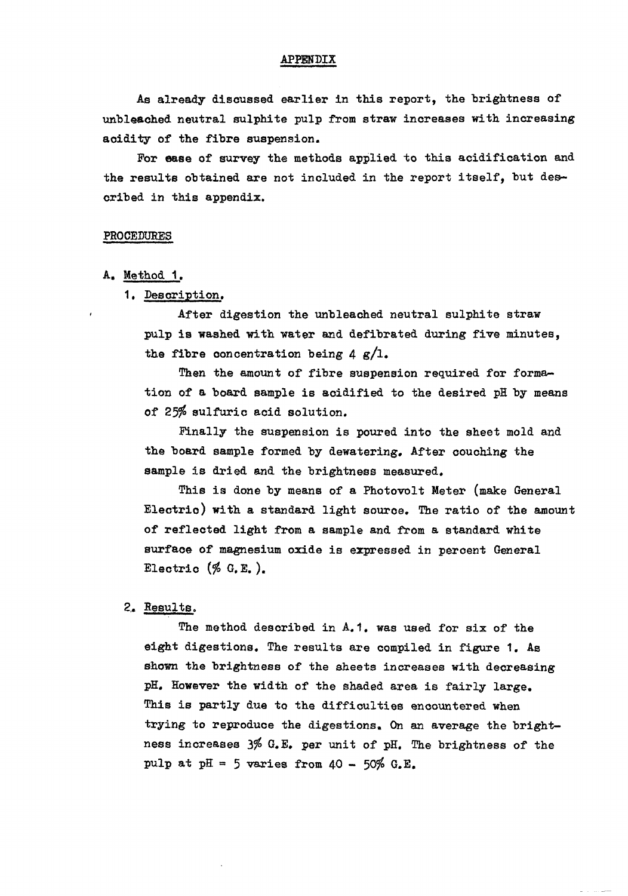#### **APPENDIX**

As already discussed earlier in this report, the brightness of **unbleached neutral sulphite pulp from straw increases with increasing acidity of the fibre suspension.** 

**Por ease of survey the methods applied to this acidification and the results obtained are not included in the report itself, but described in this appendix.** 

#### **PROCEDURES**

- **A, Method 1.** 
	- **1, Description.**

**After digestion the unbleached neutral sulphite straw pulp is washed with water and defibrated during five minutes, the fibre concentration being 4 g/l.** 

**Then the amount of fibre suspension required for formation of a board sample is acidified to the desired pH by means of 25\$ sulfuric acid solution.** 

Finally the suspension is poured into the sheet mold and **the board sample formed by dewatering, After couching the sample is dried and the brightness measured.** 

**This is done by means of a Photovolt Meter (make General Electric) with a standard light souroe. The ratio of the amount of reflected light from a sample and from a standard white surface of magnesium oxide is expressed in percent General Electrio (\$ G. E. ).** 

### **2,. Results.**

**The method described in A.1. was used for six of the eight digestions. The results are compiled in figure 1. As shown the brightness of the sheets increases with decreasing pH, However the width of the shaded area is fairly large. This is partly due to the difficulties encountered when trying to reproduce the digestions. On an average the brightness increases 3\$ G.E, per unit of pH. The brightness of the pulp at pH « 5 varies from 40 - 50\$ G.E.**